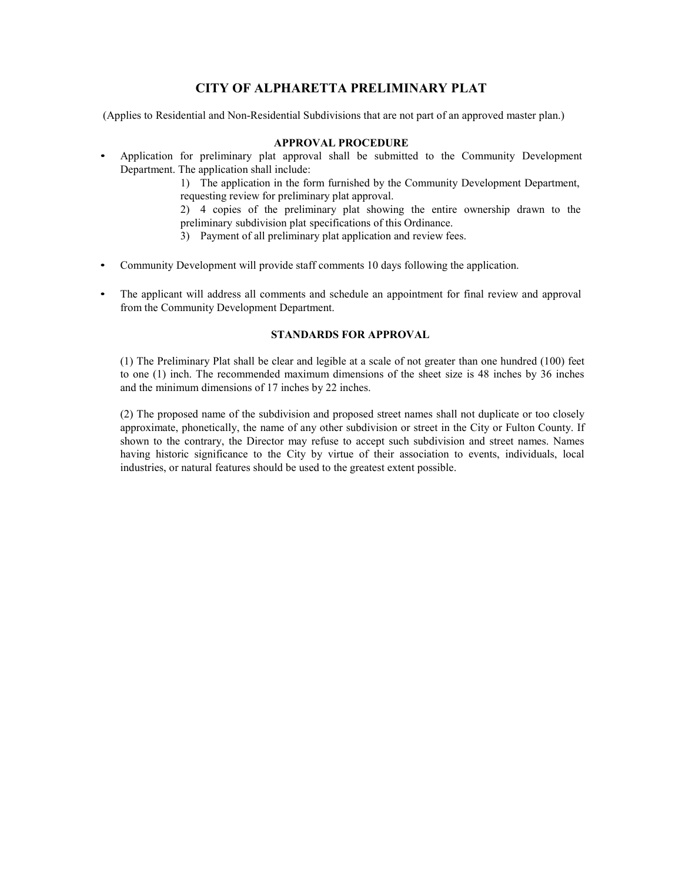#### **CITY OF ALPHARETTA PRELIMINARY PLAT**

(Applies to Residential and Non-Residential Subdivisions that are not part of an approved master plan.)

#### **APPROVAL PROCEDURE**

• Application for preliminary plat approval shall be submitted to the Community Development Department. The application shall include:

> 1) The application in the form furnished by the Community Development Department, requesting review for preliminary plat approval.

> 2) 4 copies of the preliminary plat showing the entire ownership drawn to the preliminary subdivision plat specifications of this Ordinance.

- 3) Payment of all preliminary plat application and review fees.
- Community Development will provide staff comments 10 days following the application.
- The applicant will address all comments and schedule an appointment for final review and approval from the Community Development Department.

#### **STANDARDS FOR APPROVAL**

(1) The Preliminary Plat shall be clear and legible at a scale of not greater than one hundred (100) feet to one (1) inch. The recommended maximum dimensions of the sheet size is 48 inches by 36 inches and the minimum dimensions of 17 inches by 22 inches.

(2) The proposed name of the subdivision and proposed street names shall not duplicate or too closely approximate, phonetically, the name of any other subdivision or street in the City or Fulton County. If shown to the contrary, the Director may refuse to accept such subdivision and street names. Names having historic significance to the City by virtue of their association to events, individuals, local industries, or natural features should be used to the greatest extent possible.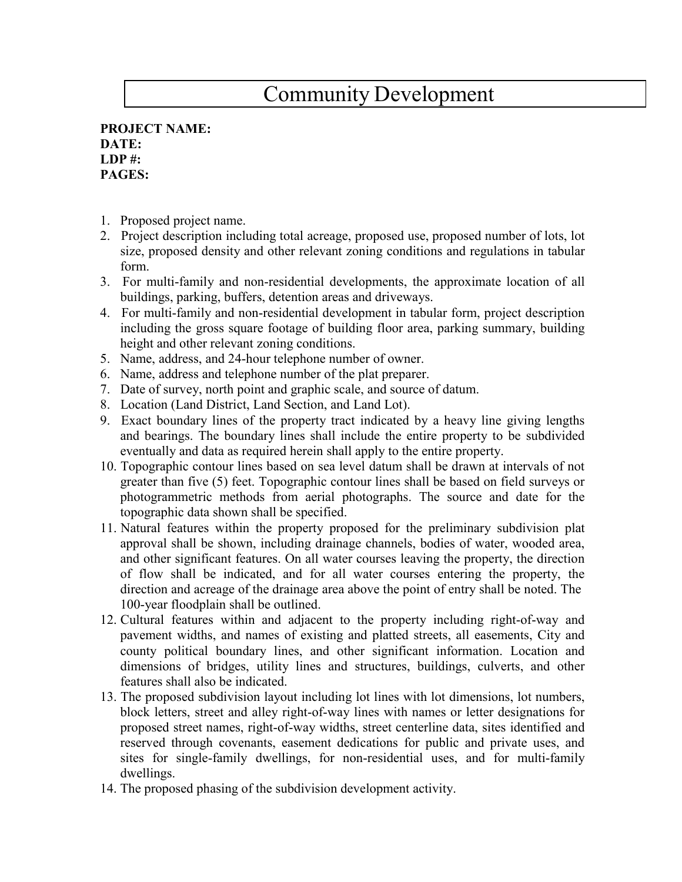## Community Development

**PROJECT NAME: DATE: LDP #: PAGES:** 

- 1. Proposed project name.
- 2. Project description including total acreage, proposed use, proposed number of lots, lot size, proposed density and other relevant zoning conditions and regulations in tabular form.
- 3. For multi-family and non-residential developments, the approximate location of all buildings, parking, buffers, detention areas and driveways.
- 4. For multi-family and non-residential development in tabular form, project description including the gross square footage of building floor area, parking summary, building height and other relevant zoning conditions.
- 5. Name, address, and 24-hour telephone number of owner.
- 6. Name, address and telephone number of the plat preparer.
- 7. Date of survey, north point and graphic scale, and source of datum.
- 8. Location (Land District, Land Section, and Land Lot).
- 9. Exact boundary lines of the property tract indicated by a heavy line giving lengths and bearings. The boundary lines shall include the entire property to be subdivided eventually and data as required herein shall apply to the entire property.
- 10. Topographic contour lines based on sea level datum shall be drawn at intervals of not greater than five (5) feet. Topographic contour lines shall be based on field surveys or photogrammetric methods from aerial photographs. The source and date for the topographic data shown shall be specified.
- 11. Natural features within the property proposed for the preliminary subdivision plat approval shall be shown, including drainage channels, bodies of water, wooded area, and other significant features. On all water courses leaving the property, the direction of flow shall be indicated, and for all water courses entering the property, the direction and acreage of the drainage area above the point of entry shall be noted. The 100-year floodplain shall be outlined.
- 12. Cultural features within and adjacent to the property including right-of-way and pavement widths, and names of existing and platted streets, all easements, City and county political boundary lines, and other significant information. Location and dimensions of bridges, utility lines and structures, buildings, culverts, and other features shall also be indicated.
- 13. The proposed subdivision layout including lot lines with lot dimensions, lot numbers, block letters, street and alley right-of-way lines with names or letter designations for proposed street names, right-of-way widths, street centerline data, sites identified and reserved through covenants, easement dedications for public and private uses, and sites for single-family dwellings, for non-residential uses, and for multi-family dwellings.
- 14. The proposed phasing of the subdivision development activity.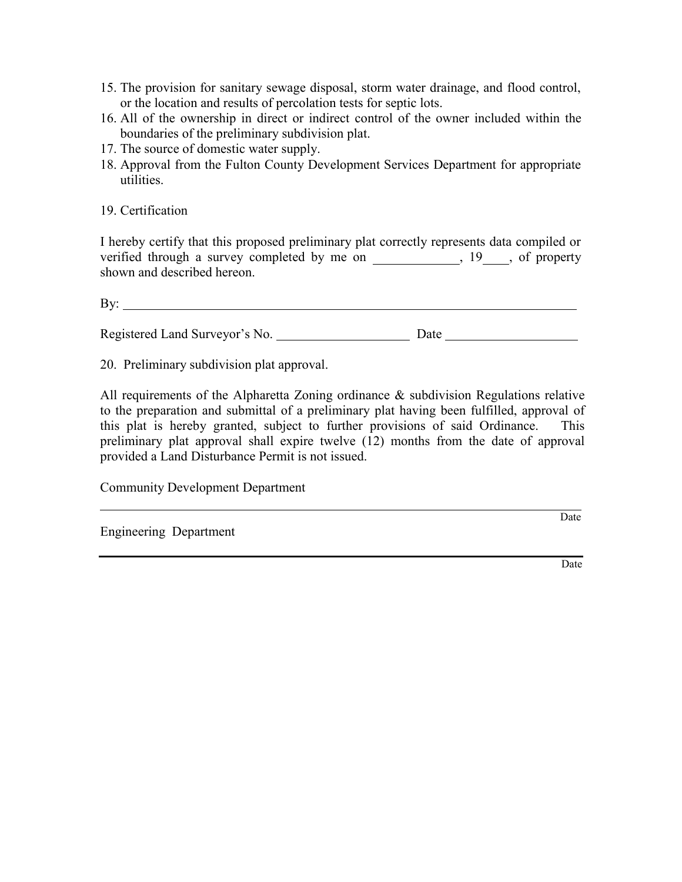- 15. The provision for sanitary sewage disposal, storm water drainage, and flood control, or the location and results of percolation tests for septic lots.
- 16. All of the ownership in direct or indirect control of the owner included within the boundaries of the preliminary subdivision plat.
- 17. The source of domestic water supply.
- 18. Approval from the Fulton County Development Services Department for appropriate utilities.
- 19. Certification

I hereby certify that this proposed preliminary plat correctly represents data compiled or verified through a survey completed by me on , 19, sof property shown and described hereon.

Registered Land Surveyor's No. 2008. Date

By:

20. Preliminary subdivision plat approval.

All requirements of the Alpharetta Zoning ordinance & subdivision Regulations relative to the preparation and submittal of a preliminary plat having been fulfilled, approval of this plat is hereby granted, subject to further provisions of said Ordinance. This preliminary plat approval shall expire twelve (12) months from the date of approval provided a Land Disturbance Permit is not issued.

Community Development Department

Engineering Department

Date

Date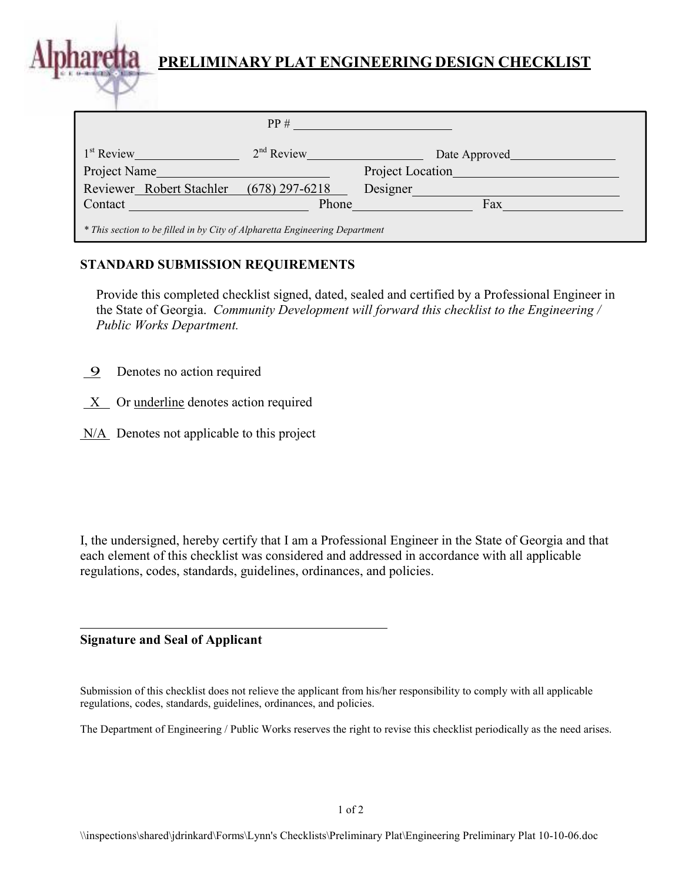# **PRELIMINARY PLAT ENGINEERING DESIGN CHECKLIST**

|                                                                             | PP#              |                  |  |  |
|-----------------------------------------------------------------------------|------------------|------------------|--|--|
| 1 <sup>st</sup> Review                                                      | $2nd$ Review     | Date Approved    |  |  |
| Project Name                                                                |                  | Project Location |  |  |
| Reviewer Robert Stachler                                                    | $(678)$ 297-6218 | Designer         |  |  |
| Contact                                                                     | Phone            | Fax              |  |  |
| * This section to be filled in by City of Alpharetta Engineering Department |                  |                  |  |  |

#### **STANDARD SUBMISSION REQUIREMENTS**

Provide this completed checklist signed, dated, sealed and certified by a Professional Engineer in the State of Georgia. *Community Development will forward this checklist to the Engineering / Public Works Department.*

- 9 Denotes no action required
- $X$  Or <u>underline</u> denotes action required
- $N/A$  Denotes not applicable to this project

I, the undersigned, hereby certify that I am a Professional Engineer in the State of Georgia and that each element of this checklist was considered and addressed in accordance with all applicable regulations, codes, standards, guidelines, ordinances, and policies.

#### **Signature and Seal of Applicant**

Submission of this checklist does not relieve the applicant from his/her responsibility to comply with all applicable regulations, codes, standards, guidelines, ordinances, and policies.

The Department of Engineering / Public Works reserves the right to revise this checklist periodically as the need arises.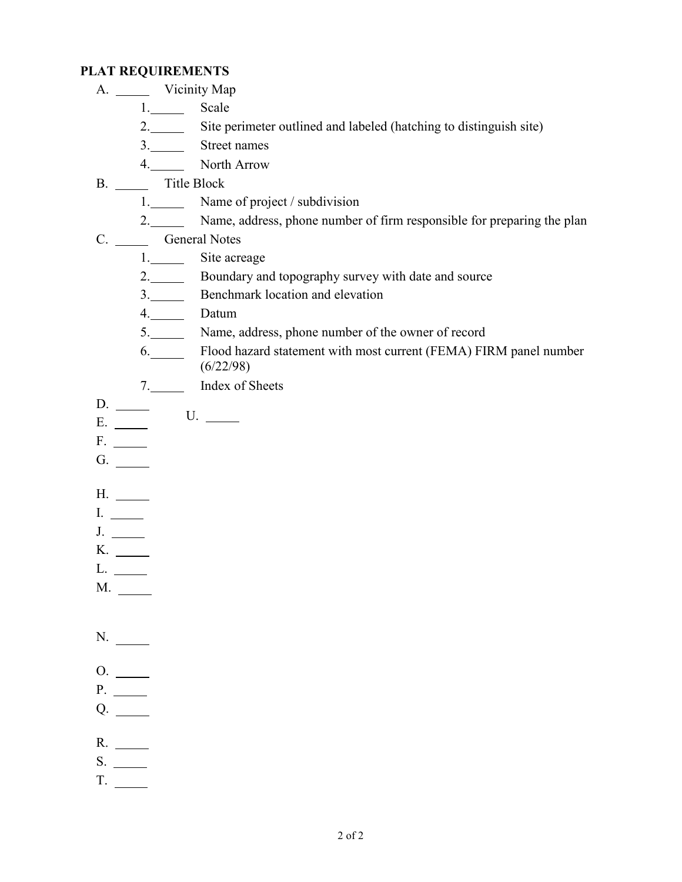#### **PLAT REQUIREMENTS**

- A. Vicinity Map
	- 1. Scale
	- $2.$ Site perimeter outlined and labeled (hatching to distinguish site)
	- $3.$ Street names
	- 4. North Arrow
- B. Title Block
	- 1. Name of project / subdivision
	- $2.$ Name, address, phone number of firm responsible for preparing the plan
- C. General Notes
	- 1. Site acreage
	- $2.$ Boundary and topography survey with date and source
	- $3.$ Benchmark location and elevation
	- $4.$ Datum
	- $5.$ Name, address, phone number of the owner of record
	- $6.$ Flood hazard statement with most current (FEMA) FIRM panel number (6/22/98)
	- 7. Index of Sheets
- D. E. U.
- F.
- G.
- H.
- I.
- J.
- K.
- L.
- M.
- N.
- $\overline{O}$ .
- P.
- $Q.$
- R.
- S.
- T.

2 of 2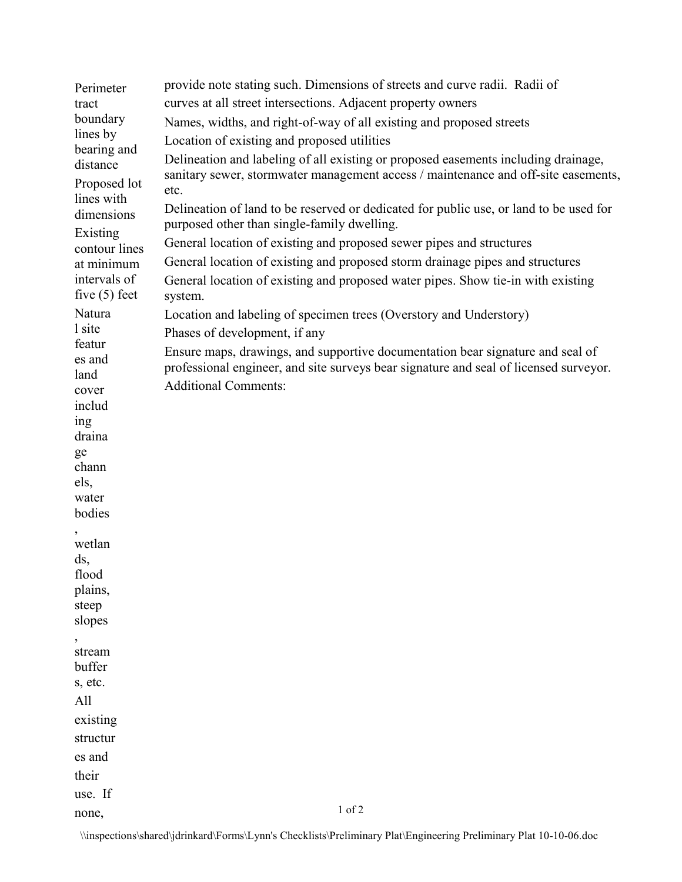| Perimeter                   | provide note stating such. Dimensions of streets and curve radii. Radii of                                                                                               |  |  |  |  |
|-----------------------------|--------------------------------------------------------------------------------------------------------------------------------------------------------------------------|--|--|--|--|
| tract                       | curves at all street intersections. Adjacent property owners                                                                                                             |  |  |  |  |
| boundary                    | Names, widths, and right-of-way of all existing and proposed streets                                                                                                     |  |  |  |  |
| lines by                    | Location of existing and proposed utilities                                                                                                                              |  |  |  |  |
| bearing and<br>distance     | Delineation and labeling of all existing or proposed easements including drainage,<br>sanitary sewer, stormwater management access / maintenance and off-site easements, |  |  |  |  |
| Proposed lot                | etc.                                                                                                                                                                     |  |  |  |  |
| lines with<br>dimensions    | Delineation of land to be reserved or dedicated for public use, or land to be used for<br>purposed other than single-family dwelling.                                    |  |  |  |  |
| Existing                    | General location of existing and proposed sewer pipes and structures                                                                                                     |  |  |  |  |
| contour lines<br>at minimum | General location of existing and proposed storm drainage pipes and structures                                                                                            |  |  |  |  |
| intervals of                | General location of existing and proposed water pipes. Show tie-in with existing                                                                                         |  |  |  |  |
| five $(5)$ feet             | system.                                                                                                                                                                  |  |  |  |  |
| Natura                      | Location and labeling of specimen trees (Overstory and Understory)                                                                                                       |  |  |  |  |
| 1 site                      | Phases of development, if any                                                                                                                                            |  |  |  |  |
| featur                      | Ensure maps, drawings, and supportive documentation bear signature and seal of                                                                                           |  |  |  |  |
| es and                      | professional engineer, and site surveys bear signature and seal of licensed surveyor.                                                                                    |  |  |  |  |
| land<br>cover               | <b>Additional Comments:</b>                                                                                                                                              |  |  |  |  |
| includ                      |                                                                                                                                                                          |  |  |  |  |
| ing                         |                                                                                                                                                                          |  |  |  |  |
| draina                      |                                                                                                                                                                          |  |  |  |  |
| ge                          |                                                                                                                                                                          |  |  |  |  |
| chann                       |                                                                                                                                                                          |  |  |  |  |
| els,<br>water               |                                                                                                                                                                          |  |  |  |  |
| bodies                      |                                                                                                                                                                          |  |  |  |  |
|                             |                                                                                                                                                                          |  |  |  |  |
| wetlan                      |                                                                                                                                                                          |  |  |  |  |
| ds,                         |                                                                                                                                                                          |  |  |  |  |
| flood                       |                                                                                                                                                                          |  |  |  |  |
| plains,                     |                                                                                                                                                                          |  |  |  |  |
| steep<br>slopes             |                                                                                                                                                                          |  |  |  |  |
|                             |                                                                                                                                                                          |  |  |  |  |
| stream                      |                                                                                                                                                                          |  |  |  |  |
| buffer                      |                                                                                                                                                                          |  |  |  |  |
| s, etc.                     |                                                                                                                                                                          |  |  |  |  |
| All                         |                                                                                                                                                                          |  |  |  |  |
| existing                    |                                                                                                                                                                          |  |  |  |  |
| structur                    |                                                                                                                                                                          |  |  |  |  |
| es and                      |                                                                                                                                                                          |  |  |  |  |
| their                       |                                                                                                                                                                          |  |  |  |  |
| use. If                     |                                                                                                                                                                          |  |  |  |  |
| none,                       | $1$ of $2$                                                                                                                                                               |  |  |  |  |

\\inspections\shared\jdrinkard\Forms\Lynn's Checklists\Preliminary Plat\Engineering Preliminary Plat 10-10-06.doc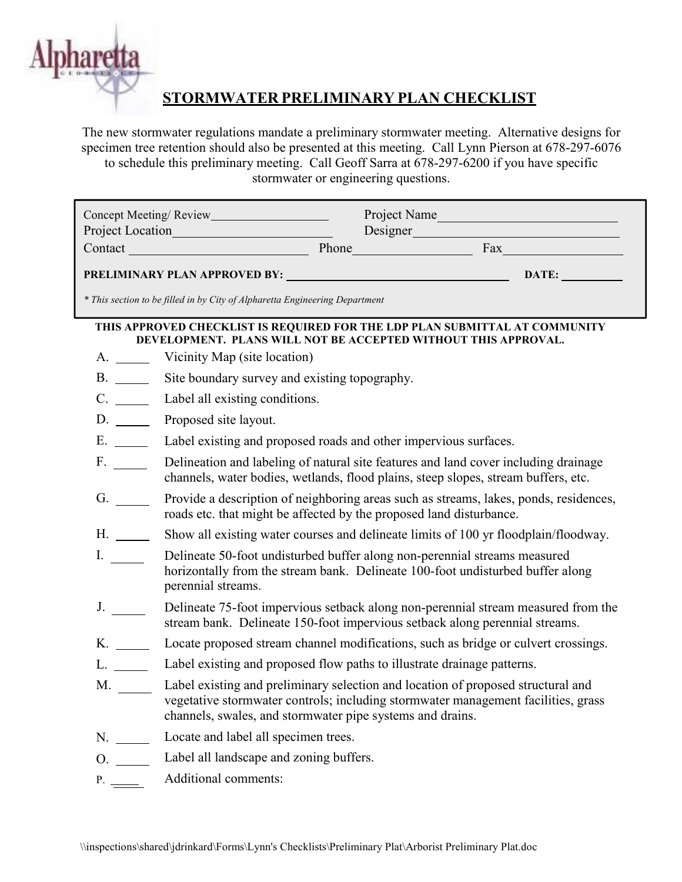

### **STORMWATER PRELIMINARY PLAN CHECKLIST**

The new stormwater regulations mandate a preliminary stormwater meeting. Alternative designs for specimen tree retention should also be presented at this meeting. Call Lynn Pierson at 678-297-6076 to schedule this preliminary meeting. Call Geoff Sarra at 678-297-6200 if you have specific stormwater or engineering questions.

|                                                                                                                                               | Project Name                                                                                                                                                                                                                       |  |  |  |  |
|-----------------------------------------------------------------------------------------------------------------------------------------------|------------------------------------------------------------------------------------------------------------------------------------------------------------------------------------------------------------------------------------|--|--|--|--|
|                                                                                                                                               | Designer<br>Contact Phone Fax                                                                                                                                                                                                      |  |  |  |  |
|                                                                                                                                               |                                                                                                                                                                                                                                    |  |  |  |  |
| * This section to be filled in by City of Alpharetta Engineering Department                                                                   |                                                                                                                                                                                                                                    |  |  |  |  |
| THIS APPROVED CHECKLIST IS REQUIRED FOR THE LDP PLAN SUBMITTAL AT COMMUNITY<br>DEVELOPMENT. PLANS WILL NOT BE ACCEPTED WITHOUT THIS APPROVAL. |                                                                                                                                                                                                                                    |  |  |  |  |
|                                                                                                                                               | A. _______ Vicinity Map (site location)                                                                                                                                                                                            |  |  |  |  |
| B.                                                                                                                                            | Site boundary survey and existing topography.                                                                                                                                                                                      |  |  |  |  |
| C.                                                                                                                                            | Label all existing conditions.                                                                                                                                                                                                     |  |  |  |  |
| D.                                                                                                                                            | Proposed site layout.                                                                                                                                                                                                              |  |  |  |  |
| E.                                                                                                                                            | Label existing and proposed roads and other impervious surfaces.                                                                                                                                                                   |  |  |  |  |
| F.                                                                                                                                            | Delineation and labeling of natural site features and land cover including drainage<br>channels, water bodies, wetlands, flood plains, steep slopes, stream buffers, etc.                                                          |  |  |  |  |
| G.                                                                                                                                            | Provide a description of neighboring areas such as streams, lakes, ponds, residences,<br>roads etc. that might be affected by the proposed land disturbance.                                                                       |  |  |  |  |
| H.                                                                                                                                            | Show all existing water courses and delineate limits of 100 yr floodplain/floodway.                                                                                                                                                |  |  |  |  |
| $\mathbf{I}$ .                                                                                                                                | Delineate 50-foot undisturbed buffer along non-perennial streams measured<br>horizontally from the stream bank. Delineate 100-foot undisturbed buffer along<br>perennial streams.                                                  |  |  |  |  |
| J.                                                                                                                                            | Delineate 75-foot impervious setback along non-perennial stream measured from the<br>stream bank. Delineate 150-foot impervious setback along perennial streams.                                                                   |  |  |  |  |
| K.                                                                                                                                            | Locate proposed stream channel modifications, such as bridge or culvert crossings.                                                                                                                                                 |  |  |  |  |
| L.                                                                                                                                            | Label existing and proposed flow paths to illustrate drainage patterns.                                                                                                                                                            |  |  |  |  |
| M.                                                                                                                                            | Label existing and preliminary selection and location of proposed structural and<br>vegetative stormwater controls; including stormwater management facilities, grass<br>channels, swales, and stormwater pipe systems and drains. |  |  |  |  |
| N.                                                                                                                                            | Locate and label all specimen trees.                                                                                                                                                                                               |  |  |  |  |
| 0.                                                                                                                                            | Label all landscape and zoning buffers.                                                                                                                                                                                            |  |  |  |  |
| P.                                                                                                                                            | Additional comments:                                                                                                                                                                                                               |  |  |  |  |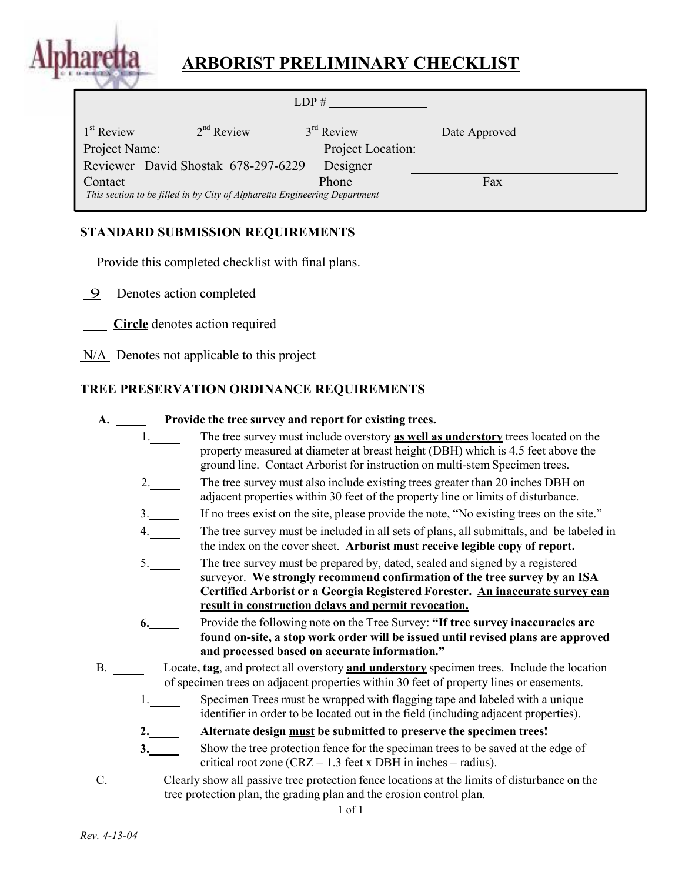

## **ARBORIST PRELIMINARY CHECKLIST**

|                                                                           |                                     | LDP#              |               |  |
|---------------------------------------------------------------------------|-------------------------------------|-------------------|---------------|--|
| $1st$ Review                                                              | $2nd$ Review                        | $3rd$ Review      | Date Approved |  |
| Project Name:                                                             |                                     | Project Location: |               |  |
|                                                                           | Reviewer_David Shostak 678-297-6229 | Designer          |               |  |
| Contact                                                                   |                                     | Phone             | Fax           |  |
| This section to be filled in by City of Alpharetta Engineering Department |                                     |                   |               |  |

#### **STANDARD SUBMISSION REQUIREMENTS**

Provide this completed checklist with final plans.

- 9 Denotes action completed
	- **Circle** denotes action required
- N/A Denotes not applicable to this project

#### **TREE PRESERVATION ORDINANCE REQUIREMENTS**

#### **A. Provide the tree survey and report for existing trees.**

- 1. 2. The tree survey must include overstory **as well as understory** trees located on the property measured at diameter at breast height (DBH) which is 4.5 feet above the ground line. Contact Arborist for instruction on multi-stem Specimen trees. The tree survey must also include existing trees greater than 20 inches DBH on
	- adjacent properties within 30 feet of the property line or limits of disturbance.
- $3.$ If no trees exist on the site, please provide the note, "No existing trees on the site."
- $4.$ The tree survey must be included in all sets of plans, all submittals, and be labeled in the index on the cover sheet. **Arborist must receive legible copy of report.**
- 5. The tree survey must be prepared by, dated, sealed and signed by a registered surveyor. **We strongly recommend confirmation of the tree survey by an ISA Certified Arborist or a Georgia Registered Forester. An inaccurate survey can result in construction delays and permit revocation.**
- **6.**  Provide the following note on the Tree Survey: **"If tree survey inaccuracies are found on-site, a stop work order will be issued until revised plans are approved and processed based on accurate information."**
- B. Locate**, tag**, and protect all overstory **and understory** specimen trees. Include the location of specimen trees on adjacent properties within 30 feet of property lines or easements.
	- 1. Specimen Trees must be wrapped with flagging tape and labeled with a unique identifier in order to be located out in the field (including adjacent properties).
	- **2. Alternate design must be submitted to preserve the specimen trees!**
	- **3.**  Show the tree protection fence for the speciman trees to be saved at the edge of critical root zone ( $C R Z = 1.3$  feet x DBH in inches = radius).
- C. Clearly show all passive tree protection fence locations at the limits of disturbance on the tree protection plan, the grading plan and the erosion control plan.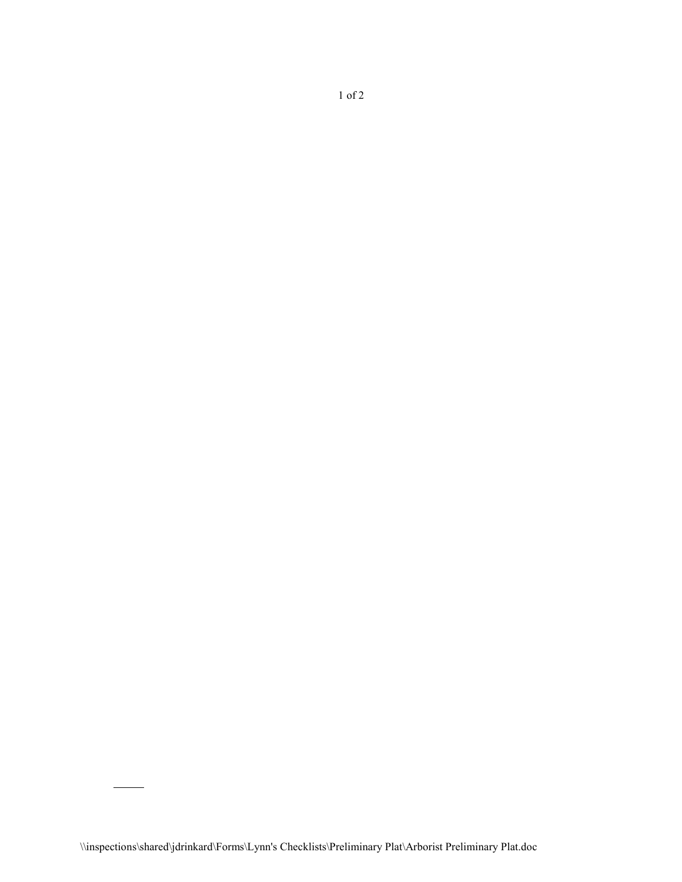